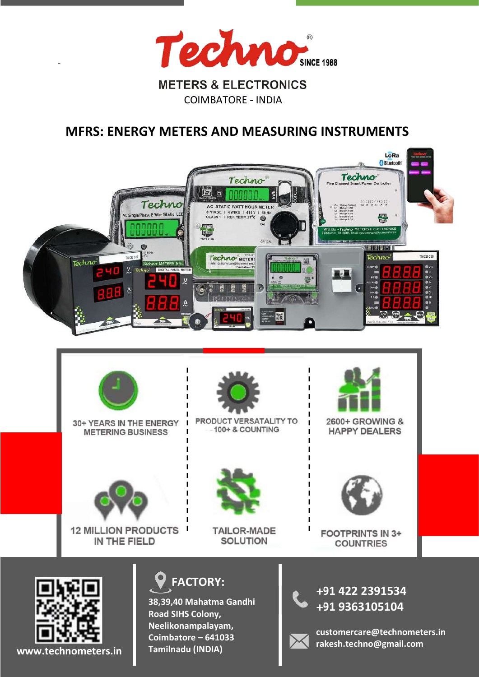

COIMBATORE - INDIA

# MFRS: ENERGY METERS AND MEASURING INSTRUMENTS





30+ YEARS IN THE ENERGY **METERING BUSINESS** 



PRODUCT VERSATALITY TO 100+ & COUNTING



2600+ GROWING & **HAPPY DEALERS** 



**12 MILLION PRODUCTS** ш IN THE FIELD



**TAILOR-MADE SOLUTION** 



**FOOTPRINTS IN 3+ COUNTRIES** 



-

www.technometers.in



38,39,40 Mahatma Gandhi Road SIHS Colony, Neelikonampalayam, Coimbatore – 641033 Tamilnadu (INDIA)

+91 422 2391534 +91 9363105104



customercare@technometers.in rakesh.techno@gmail.com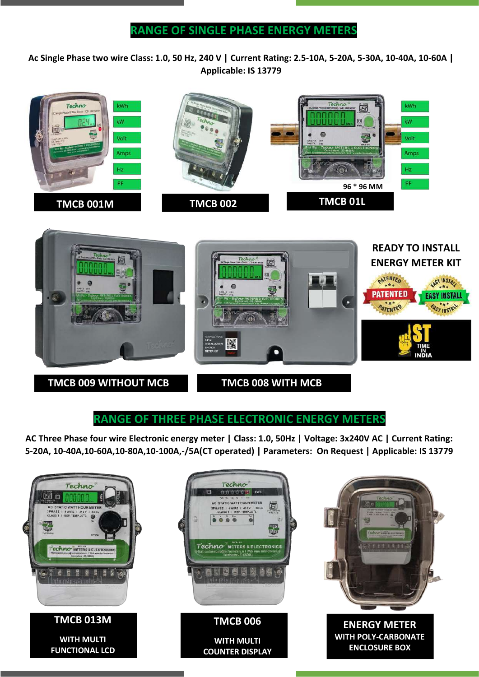Ac Single Phase two wire Class: 1.0, 50 Hz, 240 V | Current Rating: 2.5-10A, 5-20A, 5-30A, 10-40A, 10-60A | Applicable: IS 13779





### RANGE OF THREE PHASE ELECTRONIC ENERGY METERS

AC Three Phase four wire Electronic energy meter | Class: 1.0, 50Hz | Voltage: 3x240V AC | Current Rating: 5-20A, 10-40A,10-60A,10-80A,10-100A,-/5A(CT operated) | Parameters: On Request | Applicable: IS 13779

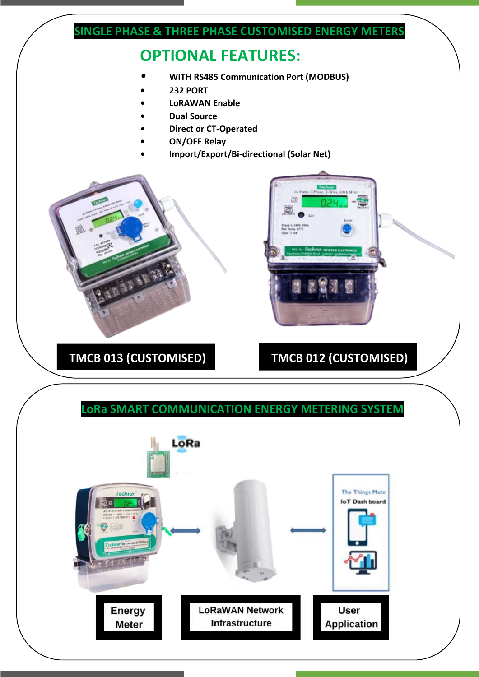## SINGLE PHASE & THREE PHASE CUSTOMISED ENERGY METERS

# OPTIONAL FEATURES:

- WITH RS485 Communication Port (MODBUS)
- 232 PORT
- **LoRAWAN Enable**
- **Dual Source**
- Direct or CT-Operated
- ON/OFF Relay
- Import/Export/Bi-directional (Solar Net)





# TMCB 013 (CUSTOMISED) TMCB 012 (CUSTOMISED)

### LoRa SMART COMMUNICATION ENERGY METERING SYSTEM

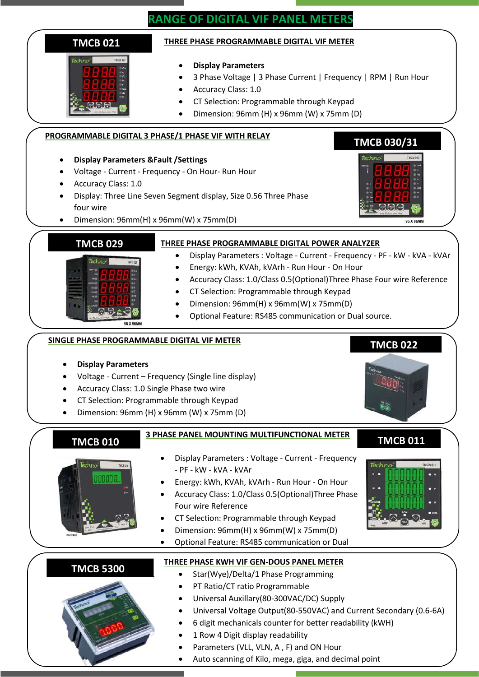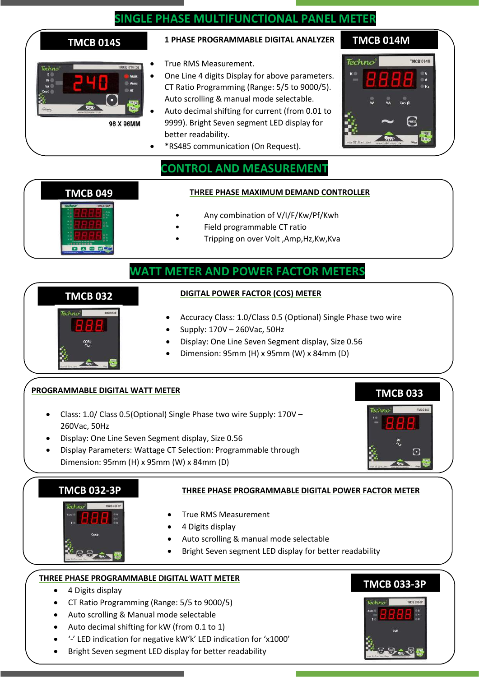# SINGLE PHASE MULTIFUNCTIONAL PANEL METER

| Techno | <b>TMCB 014 (S)</b> |             |
|--------|---------------------|-------------|
|        |                     | <b>VRMS</b> |
| VA     |                     | <b>ARMS</b> |
| osp    |                     | Hz          |
|        |                     |             |
|        | art was             |             |
|        | www.technometers.in |             |
|        | 96 X 96MM           |             |

### TMCB 014S <sup>1</sup> PHASE PROGRAMMABLE DIGITAL ANALYZER TMCB 014M

- True RMS Measurement.
- One Line 4 digits Display for above parameters. CT Ratio Programming (Range: 5/5 to 9000/5). Auto scrolling & manual mode selectable.
- Auto decimal shifting for current (from 0.01 to 9999). Bright Seven segment LED display for better readability.
- \*RS485 communication (On Request).



# CONTROL AND MEASUREMENT

### TMCB 049 THREE PHASE MAXIMUM DEMAND CONTROLLER

- Any combination of V/I/F/Kw/Pf/Kwh
- Field programmable CT ratio
- Tripping on over Volt ,Amp,Hz,Kw,Kva

### WATT METER AND POWER FACTOR METERS

#### DIGITAL POWER FACTOR (COS) METER

- Accuracy Class: 1.0/Class 0.5 (Optional) Single Phase two wire
- Supply: 170V 260Vac, 50Hz
- Display: One Line Seven Segment display, Size 0.56
- Dimension: 95mm (H) x 95mm (W) x 84mm (D)

### PROGRAMMABLE DIGITAL WATT METER

l

Techno

TMCB 032

9000\*

- Class: 1.0/ Class 0.5(Optional) Single Phase two wire Supply: 170V 260Vac, 50Hz
- Display: One Line Seven Segment display, Size 0.56
- Display Parameters: Wattage CT Selection: Programmable through Dimension: 95mm (H) x 95mm (W) x 84mm (D)



### TMCB 032-3P



#### THREE PHASE PROGRAMMABLE DIGITAL POWER FACTOR METER

- True RMS Measurement
- 4 Digits display
- Auto scrolling & manual mode selectable
- Bright Seven segment LED display for better readability

### THREE PHASE PROGRAMMABLE DIGITAL WATT METER

- 4 Digits display
- CT Ratio Programming (Range: 5/5 to 9000/5)
- Auto scrolling & Manual mode selectable
- Auto decimal shifting for kW (from 0.1 to 1)
- '-' LED indication for negative kW'k' LED indication for 'x1000'
- Bright Seven segment LED display for better readability

## TMCB 033-3P

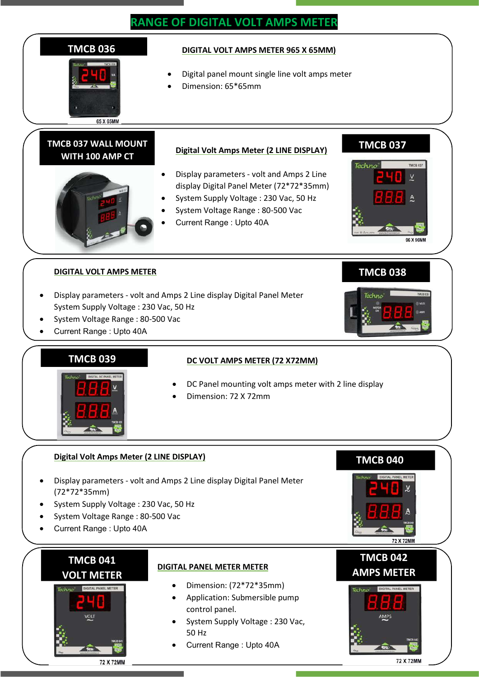# RANGE OF DIGITAL VOLT AMPS METER





- DC Panel mounting volt amps meter with 2 line display
- Dimension: 72 X 72mm

#### Digital Volt Amps Meter (2 LINE DISPLAY)

- Display parameters volt and Amps 2 Line display Digital Panel Meter (72\*72\*35mm)
- System Supply Voltage : 230 Vac, 50 Hz
- System Voltage Range : 80-500 Vac
- Current Range : Upto 40A

### TMCB 041 VOLT METER

#### DIGITAL PANEL METER METER

- Dimension: (72\*72\*35mm)
- Application: Submersible pump control panel.
- System Supply Voltage : 230 Vac, 50 Hz
- Current Range : Upto 40A

# TMCB 042 AMPS METER

**72 X 72MM** 

TMCB 040



72 X 72MM

#### 72 X 72MM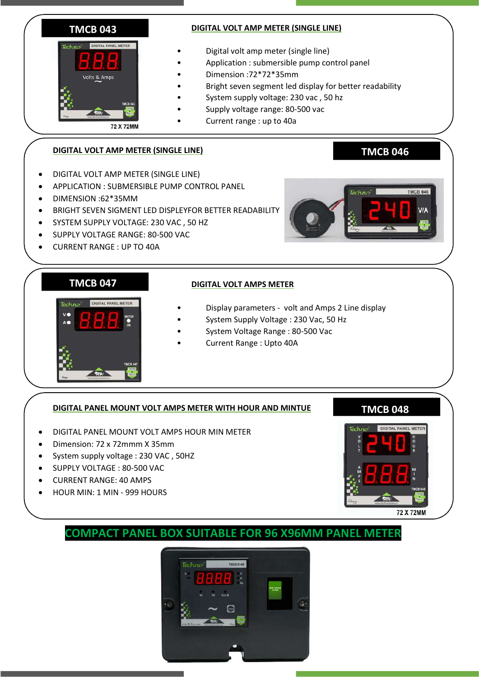

#### DIGITAL VOLT AMP METER (SINGLE LINE)

- Digital volt amp meter (single line)
- Application : submersible pump control panel
- Dimension :72\*72\*35mm
- Bright seven segment led display for better readability
- System supply voltage: 230 vac , 50 hz
- Supply voltage range: 80-500 vac
- Current range : up to 40a

### DIGITAL VOLT AMP METER (SINGLE LINE)

- DIGITAL VOLT AMP METER (SINGLE LINE)
- APPLICATION : SUBMERSIBLE PUMP CONTROL PANEL
- DIMENSION :62\*35MM
- BRIGHT SEVEN SIGMENT LED DISPLEYFOR BETTER READABILITY
- SYSTEM SUPPLY VOLTAGE: 230 VAC , 50 HZ
- SUPPLY VOLTAGE RANGE: 80-500 VAC
- CURRENT RANGE : UP TO 40A



TMCB 046

### TMCB 047



### DIGITAL VOLT AMPS METER

- Display parameters volt and Amps 2 Line display
- System Supply Voltage : 230 Vac, 50 Hz
- System Voltage Range : 80-500 Vac
- Current Range : Upto 40A

### DIGITAL PANEL MOUNT VOLT AMPS METER WITH HOUR AND MINTUE

- DIGITAL PANEL MOUNT VOLT AMPS HOUR MIN METER
- Dimension: 72 x 72mmm X 35mm
- System supply voltage : 230 VAC , 50HZ
- SUPPLY VOLTAGE : 80-500 VAC
- CURRENT RANGE: 40 AMPS
- HOUR MIN: 1 MIN 999 HOURS

# TMCB 048



# COMPACT PANEL BOX SUITABLE FOR 96 X96MM PANEL METER